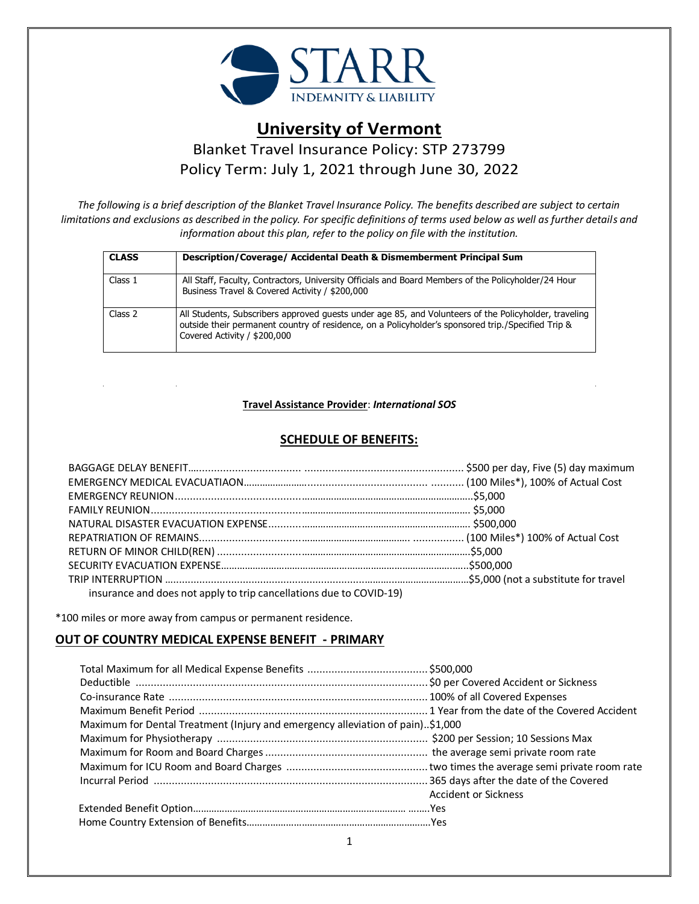

# **University of Vermont**

Blanket Travel Insurance Policy: STP 273799 Policy Term: July 1, 2021 through June 30, 2022

*The following is a brief description of the Blanket Travel Insurance Policy. The benefits described are subject to certain limitations and exclusions as described in the policy. For specific definitions of terms used below as well as further details and information about this plan, refer to the policy on file with the institution.* 

| <b>CLASS</b> | Description/Coverage/ Accidental Death & Dismemberment Principal Sum                                                                                                                                                                        |
|--------------|---------------------------------------------------------------------------------------------------------------------------------------------------------------------------------------------------------------------------------------------|
| Class 1      | All Staff, Faculty, Contractors, University Officials and Board Members of the Policyholder/24 Hour<br>Business Travel & Covered Activity / \$200,000                                                                                       |
| Class 2      | All Students, Subscribers approved quests under age 85, and Volunteers of the Policyholder, traveling<br>outside their permanent country of residence, on a Policyholder's sponsored trip./Specified Trip &<br>Covered Activity / \$200,000 |

### **Travel Assistance Provider**: *International SOS*

# **SCHEDULE OF BENEFITS:**

| insurance and does not apply to trip cancellations due to COVID-19) |  |
|---------------------------------------------------------------------|--|

\*100 miles or more away from campus or permanent residence.

## **OUT OF COUNTRY MEDICAL EXPENSE BENEFIT - PRIMARY**

| Maximum for Dental Treatment (Injury and emergency alleviation of pain)\$1,000 |                             |  |
|--------------------------------------------------------------------------------|-----------------------------|--|
|                                                                                |                             |  |
|                                                                                |                             |  |
|                                                                                |                             |  |
|                                                                                |                             |  |
|                                                                                | <b>Accident or Sickness</b> |  |
|                                                                                |                             |  |
|                                                                                |                             |  |